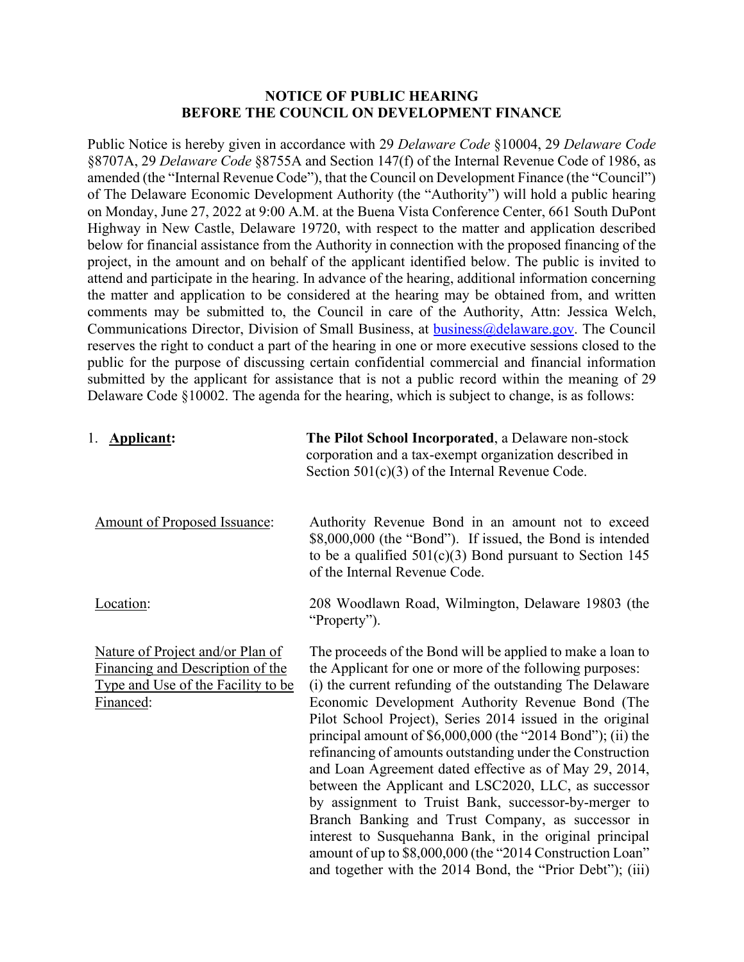## **NOTICE OF PUBLIC HEARING BEFORE THE COUNCIL ON DEVELOPMENT FINANCE**

Public Notice is hereby given in accordance with 29 *Delaware Code* §10004, 29 *Delaware Code*  §8707A, 29 *Delaware Code* §8755A and Section 147(f) of the Internal Revenue Code of 1986, as amended (the "Internal Revenue Code"), that the Council on Development Finance (the "Council") of The Delaware Economic Development Authority (the "Authority") will hold a public hearing on Monday, June 27, 2022 at 9:00 A.M. at the Buena Vista Conference Center, 661 South DuPont Highway in New Castle, Delaware 19720, with respect to the matter and application described below for financial assistance from the Authority in connection with the proposed financing of the project, in the amount and on behalf of the applicant identified below. The public is invited to attend and participate in the hearing. In advance of the hearing, additional information concerning the matter and application to be considered at the hearing may be obtained from, and written comments may be submitted to, the Council in care of the Authority, Attn: Jessica Welch, Communications Director, Division of Small Business, at [business@delaware.gov.](mailto:business@delaware.gov) The Council reserves the right to conduct a part of the hearing in one or more executive sessions closed to the public for the purpose of discussing certain confidential commercial and financial information submitted by the applicant for assistance that is not a public record within the meaning of 29 Delaware Code §10002. The agenda for the hearing, which is subject to change, is as follows:

| 1. Applicant:                                                                                                                  | The Pilot School Incorporated, a Delaware non-stock<br>corporation and a tax-exempt organization described in<br>Section $501(c)(3)$ of the Internal Revenue Code.                                                                                                                                                                                                                                                                                                                                                                                                                                                                                                                                                                                                                                                                                    |
|--------------------------------------------------------------------------------------------------------------------------------|-------------------------------------------------------------------------------------------------------------------------------------------------------------------------------------------------------------------------------------------------------------------------------------------------------------------------------------------------------------------------------------------------------------------------------------------------------------------------------------------------------------------------------------------------------------------------------------------------------------------------------------------------------------------------------------------------------------------------------------------------------------------------------------------------------------------------------------------------------|
| Amount of Proposed Issuance:                                                                                                   | Authority Revenue Bond in an amount not to exceed<br>\$8,000,000 (the "Bond"). If issued, the Bond is intended<br>to be a qualified $501(c)(3)$ Bond pursuant to Section 145<br>of the Internal Revenue Code.                                                                                                                                                                                                                                                                                                                                                                                                                                                                                                                                                                                                                                         |
| Location:                                                                                                                      | 208 Woodlawn Road, Wilmington, Delaware 19803 (the<br>"Property").                                                                                                                                                                                                                                                                                                                                                                                                                                                                                                                                                                                                                                                                                                                                                                                    |
| Nature of Project and/or Plan of<br><b>Financing and Description of the</b><br>Type and Use of the Facility to be<br>Financed: | The proceeds of the Bond will be applied to make a loan to<br>the Applicant for one or more of the following purposes:<br>(i) the current refunding of the outstanding The Delaware<br>Economic Development Authority Revenue Bond (The<br>Pilot School Project), Series 2014 issued in the original<br>principal amount of $$6,000,000$ (the "2014 Bond"); (ii) the<br>refinancing of amounts outstanding under the Construction<br>and Loan Agreement dated effective as of May 29, 2014,<br>between the Applicant and LSC2020, LLC, as successor<br>by assignment to Truist Bank, successor-by-merger to<br>Branch Banking and Trust Company, as successor in<br>interest to Susquehanna Bank, in the original principal<br>amount of up to \$8,000,000 (the "2014 Construction Loan"<br>and together with the 2014 Bond, the "Prior Debt"); (iii) |